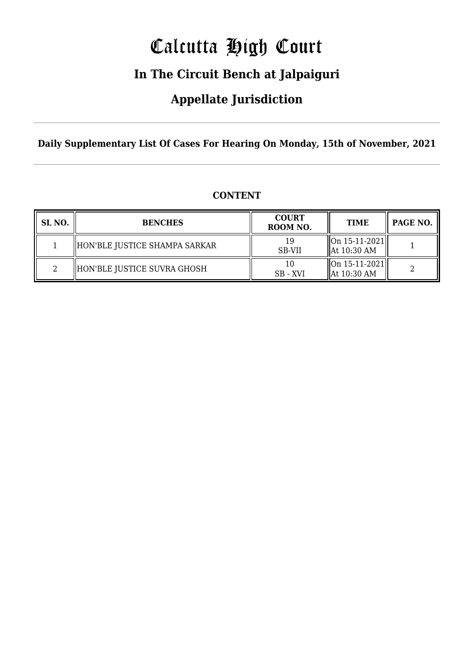# Calcutta High Court

### **In The Circuit Bench at Jalpaiguri**

### **Appellate Jurisdiction**

**Daily Supplementary List Of Cases For Hearing On Monday, 15th of November, 2021**

| SL NO. | <b>BENCHES</b>                | <b>COURT</b><br>ROOM NO. | <b>TIME</b>                                              | PAGE NO. |
|--------|-------------------------------|--------------------------|----------------------------------------------------------|----------|
|        | HON'BLE JUSTICE SHAMPA SARKAR | <b>SB-VII</b>            | $\vert$ On 15-11-2021 $\vert$<br>$\parallel$ At 10:30 AM |          |
|        | HON'BLE JUSTICE SUVRA GHOSH   | SB - XVI                 | $\left\vert \right\vert$ On 15-11-2021<br>At 10:30 AM    |          |

### **CONTENT**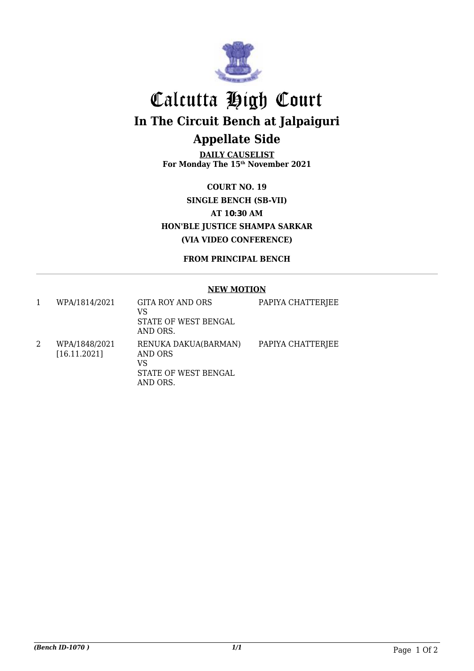

## Calcutta High Court **In The Circuit Bench at Jalpaiguri Appellate Side**

**DAILY CAUSELIST For Monday The 15th November 2021**

**COURT NO. 19 SINGLE BENCH (SB-VII) AT 10:30 AM HON'BLE JUSTICE SHAMPA SARKAR (VIA VIDEO CONFERENCE)**

**FROM PRINCIPAL BENCH**

#### **NEW MOTION**

| WPA/1814/2021                 | <b>GITA ROY AND ORS</b><br>VS<br>STATE OF WEST BENGAL<br>AND ORS.                | PAPIYA CHATTERJEE |
|-------------------------------|----------------------------------------------------------------------------------|-------------------|
| WPA/1848/2021<br>[16.11.2021] | RENUKA DAKUA(BARMAN)<br><b>AND ORS</b><br>VS<br>STATE OF WEST BENGAL<br>AND ORS. | PAPIYA CHATTERJEE |